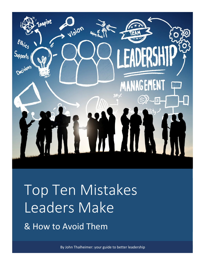

# Top Ten Mistakes Leaders Make

& How to Avoid Them

By John Thalheimer: your guide to better leadership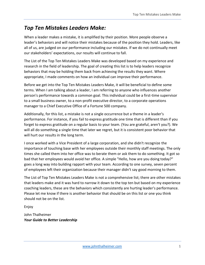# *Top Ten Mistakes Leaders Make:*

When a leader makes a mistake, it is amplified by their position. More people observe a leader's behaviors and will notice their mistakes because of the position they hold. Leaders, like all of us, are judged on our performance including our mistakes. If we do not continually meet our stakeholders' expectations, our results will continue to fall.

The List of the Top Ten Mistakes Leaders Make was developed based on my experience and research in the field of leadership. The goal of creating this list is to help leaders recognize behaviors that may be holding them back from achieving the results they want. Where appropriate, I made comments on how an individual can improve their performance.

Before we get into the Top Ten Mistakes Leaders Make, it will be beneficial to define some terms. When I am talking about a leader, I am referring to anyone who influences another person's performance towards a common goal. This individual could be a first-time supervisor to a small business owner, to a non-profit executive director, to a corporate operations manager to a Chief Executive Office of a Fortune 500 company.

Additionally, for this list, a mistake is not a single occurrence but a theme in a leader's performance. For instance, if you fail to express gratitude one time that is different than if you forget to express gratitude on a regular basis to your team. (You are grateful, aren't you?). We will all do something a single time that later we regret, but it is consistent poor behavior that will hurt our results in the long term.

I once worked with a Vice President of a large corporation, and she didn't recognize the importance of touching base with her employees outside their monthly staff meetings. The only times she called them into her office was to berate them or ask them to do something. It got so bad that her employees would avoid her office. A simple "Hello, how are you doing today?" goes a long way into building rapport with your team. According to one survey, seven percent of employees left their organization because their manager didn't say good morning to them.

The List of Top Ten Mistakes Leaders Make is not a comprehensive list; there are other mistakes that leaders make and it was hard to narrow it down to the top ten but based on my experience coaching leaders, these are the behaviors which consistently are hurting leader's performance. Please let me know if there is another behavior that should be on this list or one you think should not be on the list.

Enjoy

John Thalheimer *Your Guide to Better Leadership*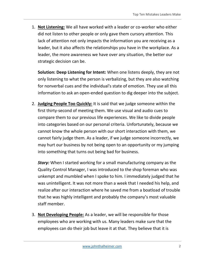1. **Not Listening:** We all have worked with a leader or co-worker who either did not listen to other people or only gave them cursory attention. This lack of attention not only impacts the information you are receiving as a leader, but it also affects the relationships you have in the workplace. As a leader, the more awareness we have over any situation, the better our strategic decision can be.

**Solution: Deep Listening for Intent:** When one listens deeply, they are not only listening to what the person is verbalizing, but they are also watching for nonverbal cues and the individual's state of emotion. They use all this information to ask an open-ended question to dig deeper into the subject.

2. **Judging People Too Quickly:** It is said that we judge someone within the first thirty-second of meeting them. We use visual and audio cues to compare them to our previous life experiences. We like to divide people into categories based on our personal criteria. Unfortunately, because we cannot know the whole person with our short interaction with them, we cannot fairly judge them. As a leader, if we judge someone incorrectly, we may hurt our business by not being open to an opportunity or my jumping into something that turns out being bad for business.

**Story:** When I started working for a small manufacturing company as the Quality Control Manager, I was introduced to the shop foreman who was unkempt and mumbled when I spoke to him. I immediately judged that he was unintelligent. It was not more than a week that I needed his help, and realize after our interaction where he saved me from a boatload of trouble that he was highly intelligent and probably the company's most valuable staff member.

3. **Not Developing People:** As a leader, we will be responsible for those employees who are working with us. Many leaders make sure that the employees can do their job but leave it at that. They believe that it is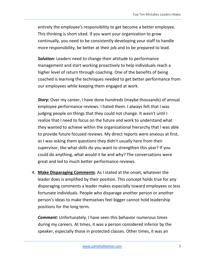entirely the employee's responsibility to get become a better employee. This thinking is short sited. If you want your organization to grow continually, you need to be consistently developing your staff to handle more responsibility, be better at their job and to be prepared to lead.

*Solution:* Leaders need to change their attitude to performance management and start working proactively to help individuals reach a higher level of return through coaching. One of the benefits of being coached is learning the techniques needed to get better performance from our employees while keeping them engaged at work.

*Story:* Over my career, I have done hundreds (maybe thousands) of annual employee performance reviews. I hated them. I always felt that I was judging people on things that they could not change. It wasn't until I realize that I need to focus on the future and work to understand what they wanted to achieve within the organizational hierarchy that I was able to provide future focused reviews. My direct reports were anxious at first, as I was asking them questions they didn't usually here from their supervisor, like what skills do you want to strengthen this year? If you could do anything, what would it be and why? The conversations were great and led to much better performance reviews.

4. **Make Disparaging Comments**: As I stated at the onset, whatever the leader does is amplified by their position. This concept holds true for any disparaging comments a leader makes especially toward employees or less fortunate individuals. People who disparage another person or another person's ideas to make themselves feel bigger cannot hold leadership positions for the long term.

*Comment:* Unfortunately, I have seen this behavior numerous times during my careers. At times, it was a person considered inferior by the speaker, especially those in protected classes. Other times, it was an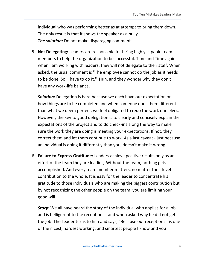individual who was performing better as at attempt to bring them down. The only result is that it shows the speaker as a bully. *The solution:* Do not make disparaging comments.

5. **Not Delegating:** Leaders are responsible for hiring highly capable team members to help the organization to be successful. Time and Time again when I am working with leaders, they will not delegate to their staff. When asked, the usual comment is "The employee cannot do the job as it needs to be done. So, I have to do it." Huh, and they wonder why they don't have any work-life balance.

*Solution:* Delegation is hard because we each have our expectation on how things are to be completed and when someone does them different than what we deem perfect, we feel obligated to redo the work ourselves. However, the key to good delegation is to clearly and concisely explain the expectations of the project and to do check-ins along the way to make sure the work they are doing is meeting your expectations. If not, they correct them and let them continue to work. As a last caveat - just because an individual is doing it differently than you, doesn't make it wrong.

6. **Failure to Express Gratitude:** Leaders achieve positive results only as an effort of the team they are leading. Without the team, nothing gets accomplished. And every team member matters, no matter their level contribution to the whole. It is easy for the leader to concentrate his gratitude to those individuals who are making the biggest contribution but by not recognizing the other people on the team, you are limiting your good will.

**Story:** We all have heard the story of the individual who applies for a job and is belligerent to the receptionist and when asked why he did not get the job. The Leader turns to him and says, "Because our receptionist is one of the nicest, hardest working, and smartest people I know and you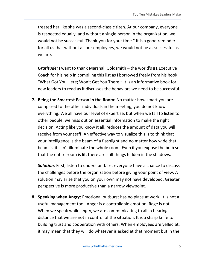treated her like she was a second-class citizen. At our company, everyone is respected equally, and without a single person in the organization, we would not be successful. Thank-you for your time." It is a good reminder for all us that without all our employees, we would not be as successful as we are.

*Gratitude:* I want to thank Marshall Goldsmith – the world's #1 Executive Coach for his help in compiling this list as I borrowed freely from his book "What Got You Here; Won't Get You There." It is an informative book for new leaders to read as it discusses the behaviors we need to be successful.

**7. Being the Smartest Person in the Room:** No matter how smart you are compared to the other individuals in the meeting, you do not know everything. We all have our level of expertise, but when we fail to listen to other people, we miss out on essential information to make the right decision. Acting like you know it all, reduces the amount of data you will receive from your staff. An effective way to visualize this is to think that your intelligence is the beam of a flashlight and no matter how wide that beam is, it can't illuminate the whole room. Even if you expose the bulb so that the entire room is lit, there are still things hidden in the shadows.

*Solution:* First, listen to understand. Let everyone have a chance to discuss the challenges before the organization before giving your point of view. A solution may arise that you on your own may not have developed. Greater perspective is more productive than a narrow viewpoint.

**8. Speaking when Angry:** Emotional outburst has no place at work. It is not a useful management tool. Anger is a controllable emotion. Rage is not. When we speak while angry, we are communicating to all in hearing distance that we are not in control of the situation. It is a sharp knife to building trust and cooperation with others. When employees are yelled at, it may mean that they will do whatever is asked at that moment but in the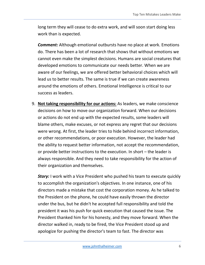long term they will cease to do extra work, and will soon start doing less work than is expected.

*Comment:* Although emotional outbursts have no place at work. Emotions do. There has been a lot of research that shows that without emotions we cannot even make the simplest decisions. Humans are social creatures that developed emotions to communicate our needs better. When we are aware of our feelings, we are offered better behavioral choices which will lead us to better results. The same is true if we can create awareness around the emotions of others. Emotional Intelligence is critical to our success as leaders.

9. **Not taking responsibility for our actions:** As leaders, we make conscience decisions on how to move our organization forward. When our decisions or actions do not end up with the expected results, some leaders will blame others, make excuses, or not express any regret that our decisions were wrong. At first, the leader tries to hide behind incorrect information, or other recommendations, or poor execution. However, the leader had the ability to request better information, not accept the recommendation, or provide better instructions to the execution. In short – the leader is always responsible. And they need to take responsibility for the action of their organization and themselves.

**Story:** I work with a Vice President who pushed his team to execute quickly to accomplish the organization's objectives. In one instance, one of his directors made a mistake that cost the corporation money. As he talked to the President on the phone, he could have easily thrown the director under the bus, but he didn't he accepted full responsibility and told the president it was his push for quick execution that caused the issue. The President thanked him for his honesty, and they move forward. When the director walked in, ready to be fired, the Vice President stood up and apologize for pushing the director's team to fast. The director was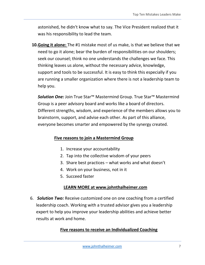astonished, he didn't know what to say. The Vice President realized that it was his responsibility to lead the team.

**10.Going it alone:** The #1 mistake most of us make, is that we believe that we need to go it alone; bear the burden of responsibilities on our shoulders; seek our counsel; think no one understands the challenges we face. This thinking leaves us alone, without the necessary advice, knowledge, support and tools to be successful. It is easy to think this especially if you are running a smaller organization where there is not a leadership team to help you.

*Solution One:* Join True Star™ Mastermind Group. True Star™ Mastermind Group is a peer advisory board and works like a board of directors. Different strengths, wisdom, and experience of the members allows you to brainstorm, support, and advise each other. As part of this alliance, everyone becomes smarter and empowered by the synergy created.

### **Five reasons to join a Mastermind Group**

- 1. Increase your accountability
- 2. Tap into the collective wisdom of your peers
- 3. Share best practices what works and what doesn't
- 4. Work on your business, not in it
- 5. Succeed faster

## **LEARN MORE at www.johnthalheimer.com**

6. *Solution Two:* Receive customized one on one coaching from a certified leadership coach. Working with a trusted advisor gives you a leadership expert to help you improve your leadership abilities and achieve better results at work and home.

# **Five reasons to receive an Individualized Coaching**